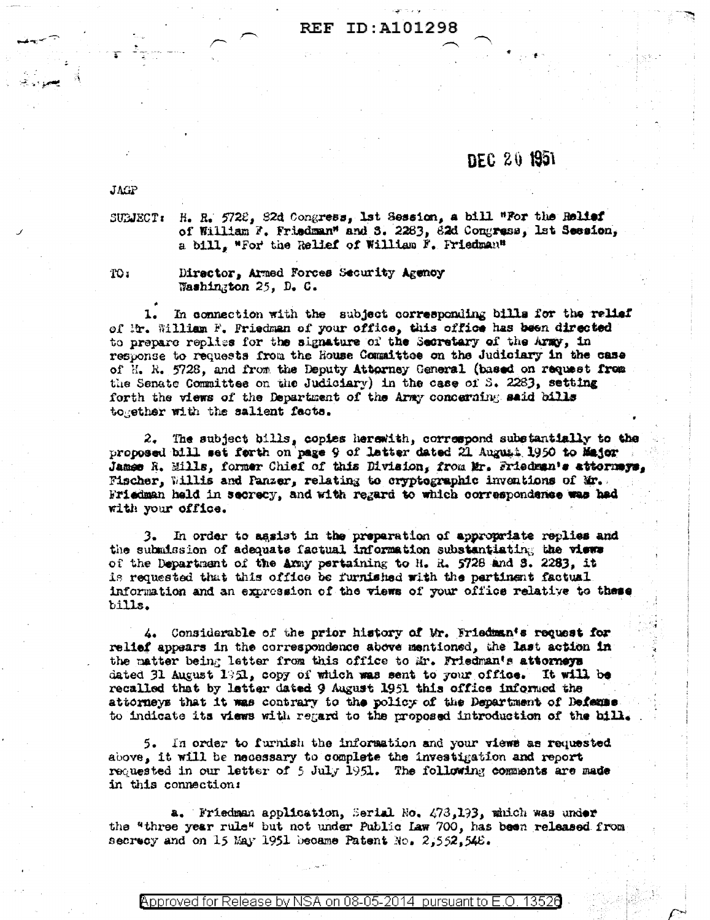#### **REF ID:A101298**

### DEC 20 1951

JAGP

 $SUBJECT$ r

H. R. 5728, S2d Congress, 1st Session, a bill "For the Relief of William F. Friedman" and S. 2263, 82d Congress, lat Seesion, a bill, "For the Relief of William F. Friedman"

TO:

Director, Armed Forces Security Agency Washington 25, D. C.

In connection with the subject corresponding bills for the relief 1. of Mr. William F. Friedman of your office, this cffice has been directed to prepare replies for the signature of the Secretary of the Army, in response to requests from the House Committee on the Judiciary in the case of H. R. 5728, and from the Deputy Attorney General (based on request from the Senate Committee on the Judiciary) in the case of S. 2283, setting forth the views of the Department of the Army concerning said bills together with the salient facts.

2. The subject bills, copies herewith, correspond substantially to the proposed bill set forth on page 9 of latter dated 21 August 1950 to Major James R. Wills, former Chief of this Division, from Mr. Friedman's attornays, Fischer, Willis and Panzer, relating to cryptographic inventions of Mr. Friedman held in secrecy, and with regard to which correspondence was hed with your office.

In order to assist in the preparation of appropriate replies and the submission of adequate factual information substantiating the views of the Department of the Army pertaining to H. R. 5728 and S. 2283, it is requested that this office be furnished with the partinent factual. information and an expression of the views of your office relative to these bills.

4. Considerable of the prior history of Mr. Wriedman's request for relief appears in the correspondence above mentioned, the last action in the matter being letter from this office to Mr. Friedman's attorneys dated 31 August 1951, copy of which was sent to your office. It will be recalled that by letter dated 9 August 1951 this office informed the attorneys that it was contrary to the policy of the Department of Defease. to indicate its views with regard to the proposed introduction of the bill.

5. In order to furnish the information and your views as requested above, it will be necessary to complete the investigation and report requested in our letter of 5 July 1951. The following comments are made in this connection:

a. Friedman application, Serial No. 473,193, mhich was under the "three year rule" but not under Public Law 700, has been released from secrecy and on 15 May 1951 became Patent No. 2,552,548.

<u> Approved for Release by NSA on 08-05-2014 pursuant to E.O.</u>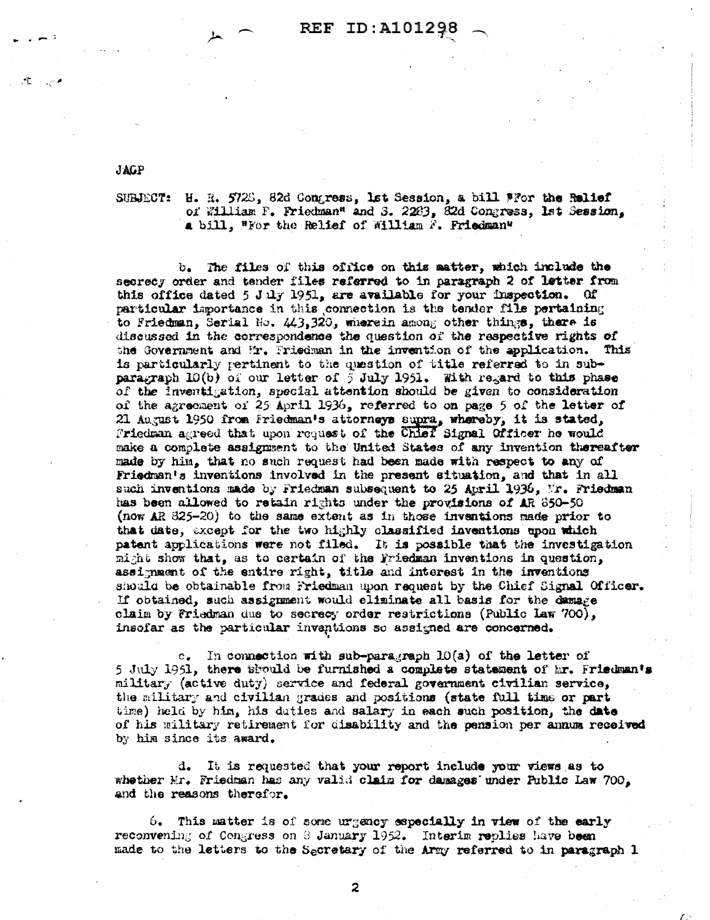#### **REF ID:A101298**

JAGP

SUBJECT: H. R. 5728, 82d Congress, 1st Session, a bill #For the Relief of William F. Friedman<sup>n</sup> and S. 2283, 82d Congress, 1st Session, a bill, "For the Relief of William F. Friedman"

The files of this office on this matter, which include the ъ. secrecy order and tender files referred to in paragraph 2 of letter from this office dated 5 July 1951, are available for your inspection. Of particular importance in this connection is the tender file pertaining to Friedman, Serial Mo.  $443,320$ , wherein among other things, there is discussed in the correspondence the question of the respective rights of the Government and Mr. Friedman in the invention of the application. This is particularly pertinent to the question of title referred to in subparagraph  $10(b)$  of our letter of 5 July 1951. With regard to this phase of the inventigation, special attention should be given to consideration of the agreement of 25 April 1936, referred to on page 5 of the letter of 21 August 1950 from Friedman's attorneys supra, whereby, it is stated, Friedman agreed that upon request of the Chief Signal Officer he would make a complete assignment to the United States of any invention thereafter made by him, that no such request had been made with respect to any of Friedman's inventions involved in the present situation, and that in all such inventions made by Friedman subsequent to 25 April 1936, Mr. Friedman has been allowed to retain rights under the provisions of AR 850-50 (now AR 325-20) to the same extent as in those inventions made prior to that date, except for the two highly classified inventions upon which patent applications were not filed. It is possible that the investigation might show that, as to certain of the Friedman inventions in question, assignment of the entire right, title and interest in the inventions should be obtainable from Friedman upon request by the Chief Signal Officer. If obtained, such assignment would eliminate all basis for the damage claim by Friedman due to secrecy order restrictions (Public Law 700), insofar as the particular inventions so assigned are concerned.

c. In connection with sub-paragraph  $10(a)$  of the letter of 5 July 1951, there should be furnished a complete statement of Er. Friedman's military (active duty) service and federal government civilian service, the military and civilian grades and positions (state full time or part time) held by him, his duties and salary in each such position, the date of his military retirement for disability and the pension per annum received by him since its award.

d. It is requested that your report include your views as to whether Mr. Friedman has any valid claim for damages under Public Law 700, and the reasons therefor.

6. This matter is of some urgency especially in view of the early reconvening of Congress on 3 January 1952. Interim replies have been made to the letters to the Secretary of the Army referred to in paragraph 1

 $\boldsymbol{z}$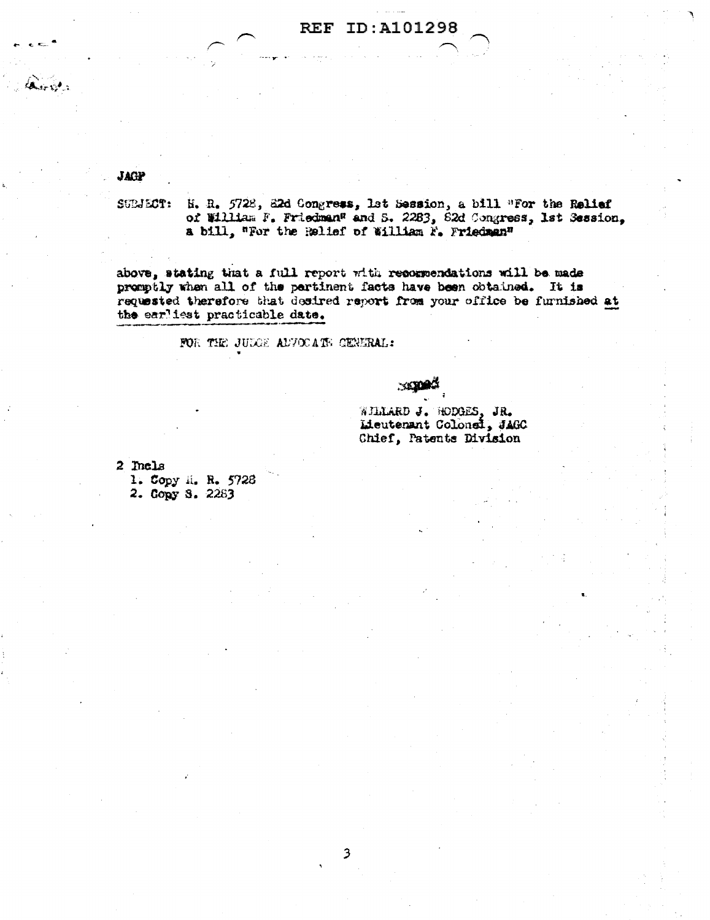### **REF ID: A101298**

JAGP

د من رونگا

SUBJECT:

H. R. 5728, 82d Congress, lat Session, a bill "For the Relief of William F. Friedman<sup>s</sup> and S. 2283, 82d Congress, 1st Session, a bill, "For the Relief of William F. Friedman"

above, stating that a full report with recommendations will be made promptly when all of the pertinent facts have been obtained. It is requested therefore that desired report from your office be furnished at the earliest practicable date.

FOR THE JULGE ADVOCATE GENERAL:

30000

WILLARD J. HODGES, JR. Lieutenant Colonel, JAGC Chief, Patents Division

2 Incls

1. Copy ii. R. 5728 2. Copy 3. 2283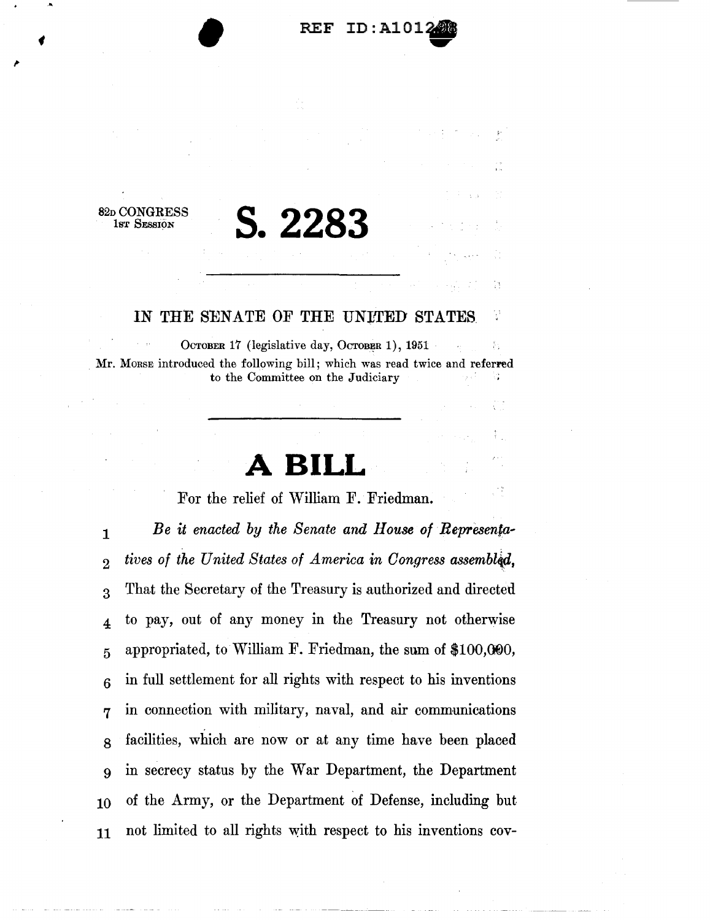# REF ID:A1012 **W""**

82D CONGRESS **S.2283**  1st Session 73 V

#### IN THE SENATE OF THE UNITED STATES

OCTOBER 17 (legislative day, OCTOBER 1), 1951  $\frac{8}{3}$  ). . Mr. MoRsE introduced the following bill; which was read twice and referred to the Committee on the Judiciary

# **A BILL**

For the relief of William F. Friedman.

1 **Be it enacted by the Senate and House of Representa-**<sup>2</sup> *tives of the United States of America in Congress assembled,* 3 That the Secretary of the Treasury is authorized and directed 4 to pay, out of any money in the Treasury not otherwise 5 appropriated, to William F. Friedman, the sum of \$100,QeO,  $6$  in full settlement for all rights with respect to his inventions 7 in connection with military, naval, and air communications g facilities, which are now or at any time have been placed 9 in secrecy status by the War Department, the Department 10 of the Army, or the Department of Defense, including but 11 not limited to all rights with respect to his inventions cov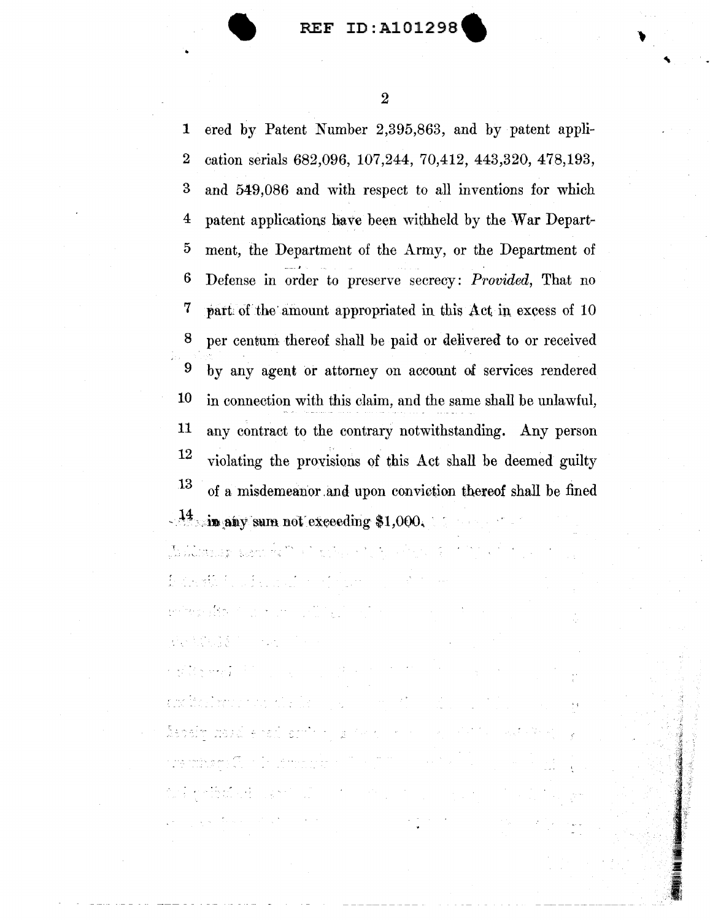**• REF ID:A101298** 

*2* 

1 ered by Patent Number 2,395,863, and by patent appli-2 cation serials 682,096, 107,244, 70,412, 443,320, 478,193, 3 and 549,086 and with respect to all inventions for which 4 patent applications have been withheld by the War Depart-5 ment, the Department of the Army, or the Department of 6 Defense in order to preserve secrecy: *Provided,* That no 7 part of the· amount appropriated in this Act in excess of 10 8 per centum thereof shall be paid or delivered to or received 9 by any agent or attorney on account of services rendered 10 in connection with this claim, and the same shall be unlawful, 11 any contract to the contrary notwithstanding. Any person 12 violating the provisions of this Act shall be deemed guilty  $13$  of a misdemeanor and upon conviction thereof shall be fined  $\sim \! \frac{14}{\pi}$  in any sum not exceeding \$1,000.

Lalindra con és Dadiga de la calla 

 $m$  is a finite set of  $\mathbb{R}^n$  , the set of  $\mathbb{R}^n$ 

 $\mathcal{L}(\mathcal{D}) = \mathcal{L}(\mathcal{D})$  , where  $\mathcal{L}(\mathcal{D}) = \mathcal{L}(\mathcal{D})$ 

Sepair mosai e radi ornin ni girishti in ning ng

er andre geskilde i Stadium i Stadium i Stadium i Stadium i Stadium i Stadium i Stadium i Stadium i Stadium i<br>Der stadium i Stadium i Stadium i Stadium i Stadium i Stadium i Stadium i Stadium i Stadium i Stadium i Stadiu

**我不能的这个人。** 

professional control of

 $\label{eq:2.1} \mathcal{L}(\mathcal{L}^{\mathcal{L}}_{\mathcal{L}}(\mathcal{L}^{\mathcal{L}}_{\mathcal{L}})) = \mathcal{L}(\mathcal{L}^{\mathcal{L}}_{\mathcal{L}}(\mathcal{L}^{\mathcal{L}}_{\mathcal{L}})) = \mathcal{L}(\mathcal{L}^{\mathcal{L}}_{\mathcal{L}}(\mathcal{L}^{\mathcal{L}}_{\mathcal{L}})) = \mathcal{L}(\mathcal{L}^{\mathcal{L}}_{\mathcal{L}}(\mathcal{L}^{\mathcal{L}}_{\mathcal{L}})) = \mathcal{L}(\mathcal{L}^{\mathcal{L}}$ 

 $\epsilon$  ,  $\epsilon_{\rm F}$  ,  $\epsilon_{\rm F}$  ,  $\epsilon_{\rm F}$  ,  $\epsilon_{\rm F}$  ,  $\epsilon_{\rm F}$